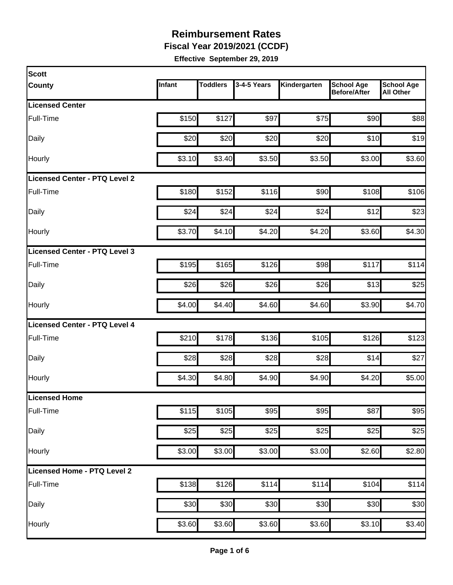**Fiscal Year 2019/2021 (CCDF)**

| Scott                                |        |                 |             |              |                                          |                                       |
|--------------------------------------|--------|-----------------|-------------|--------------|------------------------------------------|---------------------------------------|
| <b>County</b>                        | Infant | <b>Toddlers</b> | 3-4-5 Years | Kindergarten | <b>School Age</b><br><b>Before/After</b> | <b>School Age</b><br><b>All Other</b> |
| <b>Licensed Center</b>               |        |                 |             |              |                                          |                                       |
| Full-Time                            | \$150  | \$127           | \$97        | \$75         | \$90                                     | \$88                                  |
| Daily                                | \$20   | \$20            | \$20        | \$20         | \$10                                     | \$19                                  |
| Hourly                               | \$3.10 | \$3.40          | \$3.50      | \$3.50       | \$3.00                                   | \$3.60                                |
| Licensed Center - PTQ Level 2        |        |                 |             |              |                                          |                                       |
| Full-Time                            | \$180  | \$152           | \$116       | \$90         | \$108                                    | \$106                                 |
| Daily                                | \$24   | \$24            | \$24        | \$24         | \$12                                     | \$23                                  |
| Hourly                               | \$3.70 | \$4.10          | \$4.20      | \$4.20       | \$3.60                                   | \$4.30                                |
| Licensed Center - PTQ Level 3        |        |                 |             |              |                                          |                                       |
| <b>Full-Time</b>                     | \$195  | \$165           | \$126       | \$98         | \$117                                    | \$114                                 |
| Daily                                | \$26   | \$26            | \$26        | \$26         | \$13                                     | \$25                                  |
| Hourly                               | \$4.00 | \$4.40          | \$4.60      | \$4.60       | \$3.90                                   | \$4.70                                |
| <b>Licensed Center - PTQ Level 4</b> |        |                 |             |              |                                          |                                       |
| Full-Time                            | \$210  | \$178           | \$136       | \$105        | \$126                                    | \$123                                 |
| Daily                                | \$28   | \$28            | \$28        | \$28         | \$14                                     | \$27                                  |
| Hourly                               | \$4.30 | \$4.80          | \$4.90      | \$4.90       | \$4.20                                   | \$5.00                                |
| Licensed Home                        |        |                 |             |              |                                          |                                       |
| Full-Time                            | \$115  | \$105           | \$95        | \$95         | \$87                                     | \$95                                  |
| Daily                                | \$25   | \$25            | \$25        | \$25         | \$25                                     | \$25                                  |
| Hourly                               | \$3.00 | \$3.00          | \$3.00      | \$3.00       | \$2.60                                   | \$2.80                                |
| Licensed Home - PTQ Level 2          |        |                 |             |              |                                          |                                       |
| Full-Time                            | \$138  | \$126           | \$114       | \$114        | \$104                                    | \$114                                 |
| Daily                                | \$30   | \$30            | \$30        | \$30         | \$30                                     | \$30                                  |
| Hourly                               | \$3.60 | \$3.60          | \$3.60      | \$3.60       | \$3.10                                   | \$3.40                                |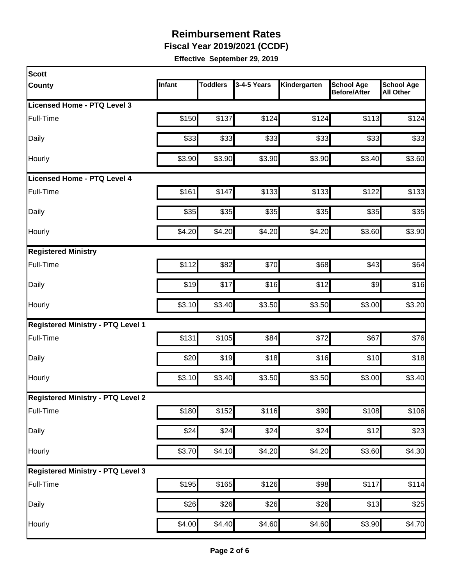**Fiscal Year 2019/2021 (CCDF)**

| <b>Scott</b>                             |        |                 |                  |              |                                          |                                       |
|------------------------------------------|--------|-----------------|------------------|--------------|------------------------------------------|---------------------------------------|
| <b>County</b>                            | Infant | <b>Toddlers</b> | 3-4-5 Years      | Kindergarten | <b>School Age</b><br><b>Before/After</b> | <b>School Age</b><br><b>All Other</b> |
| <b>Licensed Home - PTQ Level 3</b>       |        |                 |                  |              |                                          |                                       |
| Full-Time                                | \$150  | \$137           | \$124            | \$124        | \$113                                    | \$124                                 |
| Daily                                    | \$33   | \$33            | \$33             | \$33         | \$33                                     | \$33                                  |
| Hourly                                   | \$3.90 | \$3.90          | \$3.90           | \$3.90       | \$3.40                                   | \$3.60                                |
| Licensed Home - PTQ Level 4              |        |                 |                  |              |                                          |                                       |
| Full-Time                                | \$161  | \$147           | \$133            | \$133        | \$122                                    | \$133                                 |
| Daily                                    | \$35   | \$35            | \$35             | \$35         | \$35                                     | \$35                                  |
| Hourly                                   | \$4.20 | \$4.20          | \$4.20           | \$4.20       | \$3.60                                   | \$3.90                                |
| <b>Registered Ministry</b>               |        |                 |                  |              |                                          |                                       |
| Full-Time                                | \$112  | \$82            | \$70             | \$68         | \$43                                     | \$64                                  |
| Daily                                    | \$19   | \$17            | \$16             | \$12         | $\frac{1}{2}$                            | \$16                                  |
| Hourly                                   | \$3.10 | \$3.40          | \$3.50           | \$3.50       | \$3.00                                   | \$3.20                                |
| <b>Registered Ministry - PTQ Level 1</b> |        |                 |                  |              |                                          |                                       |
| Full-Time                                | \$131  | \$105           | \$84             | \$72         | \$67                                     | \$76                                  |
| Daily                                    | \$20   | \$19            | \$18             | \$16         | \$10                                     | \$18                                  |
| Hourly                                   | \$3.10 | \$3.40          | \$3.50           | \$3.50       | \$3.00                                   | \$3.40                                |
| <b>Registered Ministry - PTQ Level 2</b> |        |                 |                  |              |                                          |                                       |
| Full-Time                                | \$180  | \$152           | \$116            | \$90         | \$108                                    | \$106                                 |
| Daily                                    | \$24   | \$24            | $\overline{$}24$ | \$24         | \$12                                     | \$23                                  |
| Hourly                                   | \$3.70 | \$4.10          | \$4.20           | \$4.20       | \$3.60                                   | \$4.30                                |
| <b>Registered Ministry - PTQ Level 3</b> |        |                 |                  |              |                                          |                                       |
| Full-Time                                | \$195  | \$165           | \$126            | \$98         | \$117                                    | \$114                                 |
| Daily                                    | \$26   | \$26            | \$26             | \$26         | \$13                                     | \$25                                  |
| Hourly                                   | \$4.00 | \$4.40          | \$4.60           | \$4.60       | \$3.90                                   | \$4.70                                |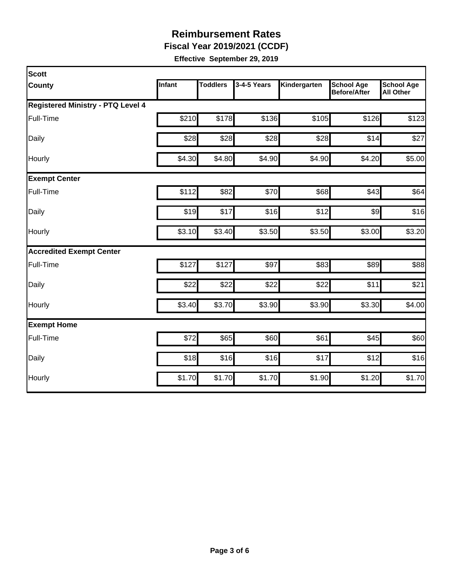**Fiscal Year 2019/2021 (CCDF)**

| Scott                                    |        |                 |             |              |                                          |                                       |
|------------------------------------------|--------|-----------------|-------------|--------------|------------------------------------------|---------------------------------------|
| <b>County</b>                            | Infant | <b>Toddlers</b> | 3-4-5 Years | Kindergarten | <b>School Age</b><br><b>Before/After</b> | <b>School Age</b><br><b>All Other</b> |
| <b>Registered Ministry - PTQ Level 4</b> |        |                 |             |              |                                          |                                       |
| Full-Time                                | \$210  | \$178           | \$136       | \$105        | \$126                                    | \$123                                 |
| Daily                                    | \$28   | \$28            | \$28        | \$28         | \$14                                     | \$27                                  |
| Hourly                                   | \$4.30 | \$4.80          | \$4.90      | \$4.90       | \$4.20                                   | \$5.00                                |
| <b>Exempt Center</b>                     |        |                 |             |              |                                          |                                       |
| Full-Time                                | \$112  | \$82            | \$70        | \$68         | \$43                                     | \$64                                  |
| Daily                                    | \$19   | \$17            | \$16        | \$12         | $\frac{1}{2}$                            | \$16                                  |
| Hourly                                   | \$3.10 | \$3.40          | \$3.50      | \$3.50       | \$3.00                                   | \$3.20                                |
| <b>Accredited Exempt Center</b>          |        |                 |             |              |                                          |                                       |
| Full-Time                                | \$127  | \$127           | \$97        | \$83         | \$89                                     | \$88                                  |
| Daily                                    | \$22   | \$22            | \$22        | \$22         | \$11                                     | \$21                                  |
| Hourly                                   | \$3.40 | \$3.70          | \$3.90      | \$3.90       | \$3.30                                   | \$4.00                                |
| <b>Exempt Home</b>                       |        |                 |             |              |                                          |                                       |
| Full-Time                                | \$72   | \$65            | \$60        | \$61         | \$45                                     | \$60                                  |
| Daily                                    | \$18   | \$16            | \$16        | \$17         | \$12                                     | \$16                                  |
| Hourly                                   | \$1.70 | \$1.70          | \$1.70      | \$1.90       | \$1.20                                   | \$1.70                                |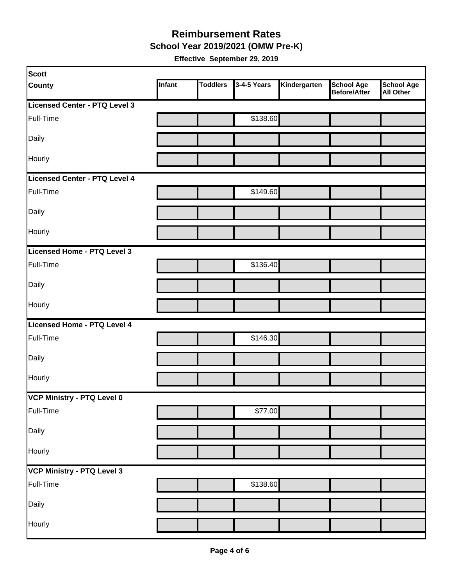**School Year 2019/2021 (OMW Pre-K)**

| <b>Scott</b>                  |        |                 |             |              |                            |                         |
|-------------------------------|--------|-----------------|-------------|--------------|----------------------------|-------------------------|
| <b>County</b>                 | Infant | <b>Toddlers</b> | 3-4-5 Years | Kindergarten | School Age<br>Before/After | School Age<br>All Other |
| Licensed Center - PTQ Level 3 |        |                 |             |              |                            |                         |
| Full-Time                     |        |                 | \$138.60    |              |                            |                         |
| Daily                         |        |                 |             |              |                            |                         |
| Hourly                        |        |                 |             |              |                            |                         |
| Licensed Center - PTQ Level 4 |        |                 |             |              |                            |                         |
| Full-Time                     |        |                 | \$149.60    |              |                            |                         |
| Daily                         |        |                 |             |              |                            |                         |
| Hourly                        |        |                 |             |              |                            |                         |
| Licensed Home - PTQ Level 3   |        |                 |             |              |                            |                         |
| Full-Time                     |        |                 | \$136.40    |              |                            |                         |
| Daily                         |        |                 |             |              |                            |                         |
| Hourly                        |        |                 |             |              |                            |                         |
| Licensed Home - PTQ Level 4   |        |                 |             |              |                            |                         |
| Full-Time                     |        |                 | \$146.30    |              |                            |                         |
| Daily                         |        |                 |             |              |                            |                         |
| Hourly                        |        |                 |             |              |                            |                         |
| VCP Ministry - PTQ Level 0    |        |                 |             |              |                            |                         |
| Full-Time                     |        |                 | \$77.00     |              |                            |                         |
| Daily                         |        |                 |             |              |                            |                         |
| Hourly                        |        |                 |             |              |                            |                         |
| VCP Ministry - PTQ Level 3    |        |                 |             |              |                            |                         |
| Full-Time                     |        |                 | \$138.60    |              |                            |                         |
| Daily                         |        |                 |             |              |                            |                         |
| Hourly                        |        |                 |             |              |                            |                         |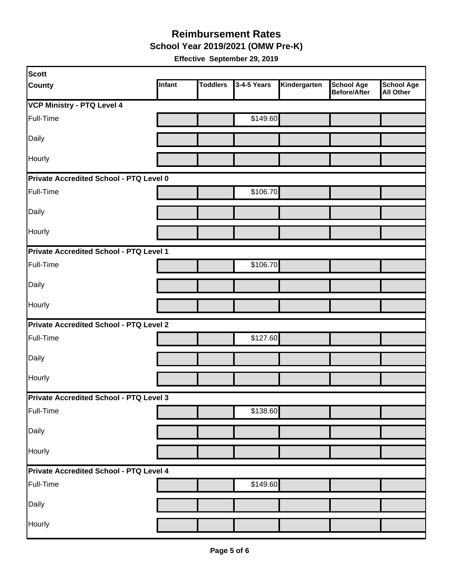**School Year 2019/2021 (OMW Pre-K)**

| Scott                                   |               |                 |             |              |                                   |                                       |  |  |
|-----------------------------------------|---------------|-----------------|-------------|--------------|-----------------------------------|---------------------------------------|--|--|
| <b>County</b>                           | <b>Infant</b> | <b>Toddlers</b> | 3-4-5 Years | Kindergarten | <b>School Age</b><br>Before/After | <b>School Age</b><br><b>All Other</b> |  |  |
| <b>VCP Ministry - PTQ Level 4</b>       |               |                 |             |              |                                   |                                       |  |  |
| Full-Time                               |               |                 | \$149.60    |              |                                   |                                       |  |  |
| Daily                                   |               |                 |             |              |                                   |                                       |  |  |
| Hourly                                  |               |                 |             |              |                                   |                                       |  |  |
| Private Accredited School - PTQ Level 0 |               |                 |             |              |                                   |                                       |  |  |
| Full-Time                               |               |                 | \$106.70    |              |                                   |                                       |  |  |
| Daily                                   |               |                 |             |              |                                   |                                       |  |  |
| Hourly                                  |               |                 |             |              |                                   |                                       |  |  |
| Private Accredited School - PTQ Level 1 |               |                 |             |              |                                   |                                       |  |  |
| Full-Time                               |               |                 | \$106.70    |              |                                   |                                       |  |  |
| Daily                                   |               |                 |             |              |                                   |                                       |  |  |
| <b>Hourly</b>                           |               |                 |             |              |                                   |                                       |  |  |
| Private Accredited School - PTQ Level 2 |               |                 |             |              |                                   |                                       |  |  |
| Full-Time                               |               |                 | \$127.60    |              |                                   |                                       |  |  |
| Daily                                   |               |                 |             |              |                                   |                                       |  |  |
| Hourly                                  |               |                 |             |              |                                   |                                       |  |  |
| Private Accredited School - PTQ Level 3 |               |                 |             |              |                                   |                                       |  |  |
| Full-Time                               |               |                 | \$138.60    |              |                                   |                                       |  |  |
| Daily                                   |               |                 |             |              |                                   |                                       |  |  |
| Hourly                                  |               |                 |             |              |                                   |                                       |  |  |
| Private Accredited School - PTQ Level 4 |               |                 |             |              |                                   |                                       |  |  |
| Full-Time                               |               |                 | \$149.60    |              |                                   |                                       |  |  |
| Daily                                   |               |                 |             |              |                                   |                                       |  |  |
| Hourly                                  |               |                 |             |              |                                   |                                       |  |  |